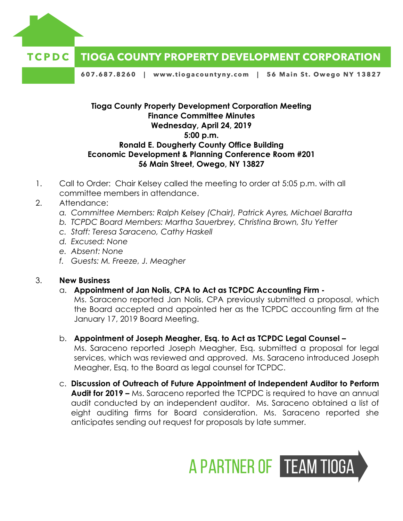

## **TIOGA COUNTY PROPERTY DEVELOPMENT CORPORATION** TCPDC

607.687.8260 | www.tiogacountyny.com | 56 Main St. Owego NY 13827

## **Tioga County Property Development Corporation Meeting Finance Committee Minutes Wednesday, April 24, 2019 5:00 p.m. Ronald E. Dougherty County Office Building Economic Development & Planning Conference Room #201 56 Main Street, Owego, NY 13827**

- 1. Call to Order: Chair Kelsey called the meeting to order at 5:05 p.m. with all committee members in attendance.
- 2. Attendance:
	- *a. Committee Members: Ralph Kelsey (Chair), Patrick Ayres, Michael Baratta*
	- *b. TCPDC Board Members: Martha Sauerbrey, Christina Brown, Stu Yetter*
	- *c. Staff: Teresa Saraceno, Cathy Haskell*
	- *d. Excused: None*
	- *e. Absent: None*
	- *f. Guests: M. Freeze, J. Meagher*

## 3. **New Business**

a. **Appointment of Jan Nolis, CPA to Act as TCPDC Accounting Firm -**

Ms. Saraceno reported Jan Nolis, CPA previously submitted a proposal, which the Board accepted and appointed her as the TCPDC accounting firm at the January 17, 2019 Board Meeting.

- b. **Appointment of Joseph Meagher, Esq. to Act as TCPDC Legal Counsel –** Ms. Saraceno reported Joseph Meagher, Esq. submitted a proposal for legal services, which was reviewed and approved. Ms. Saraceno introduced Joseph Meagher, Esq. to the Board as legal counsel for TCPDC.
- c. **Discussion of Outreach of Future Appointment of Independent Auditor to Perform Audit for 2019 –** Ms. Saraceno reported the TCPDC is required to have an annual audit conducted by an independent auditor. Ms. Saraceno obtained a list of eight auditing firms for Board consideration. Ms. Saraceno reported she anticipates sending out request for proposals by late summer.